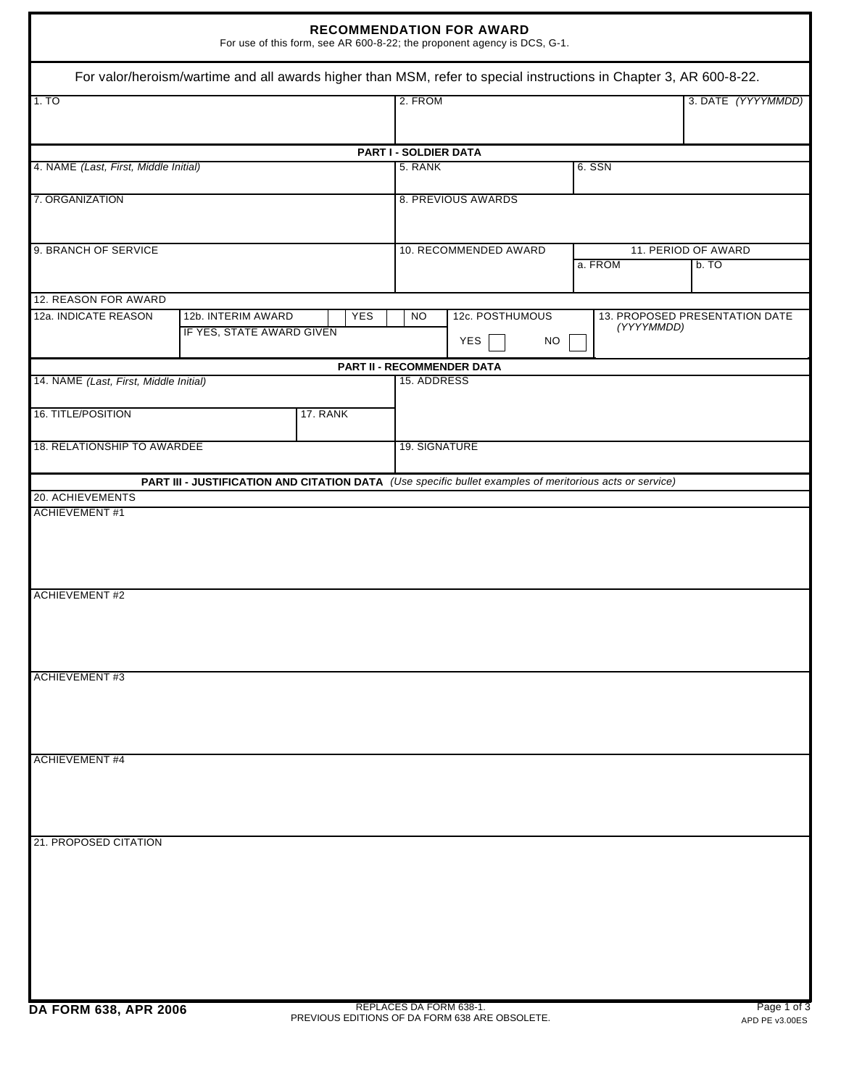| <b>RECOMMENDATION FOR AWARD</b><br>For use of this form, see AR 600-8-22; the proponent agency is DCS, G-1. |                                                                                                                    |            |                                                         |  |                                              |  |                             |                    |
|-------------------------------------------------------------------------------------------------------------|--------------------------------------------------------------------------------------------------------------------|------------|---------------------------------------------------------|--|----------------------------------------------|--|-----------------------------|--------------------|
|                                                                                                             | For valor/heroism/wartime and all awards higher than MSM, refer to special instructions in Chapter 3, AR 600-8-22. |            |                                                         |  |                                              |  |                             |                    |
| 1.70                                                                                                        |                                                                                                                    |            | 2. FROM                                                 |  |                                              |  |                             | 3. DATE (YYYYMMDD) |
|                                                                                                             |                                                                                                                    |            | PART I - SOLDIER DATA                                   |  |                                              |  |                             |                    |
| 4. NAME (Last, First, Middle Initial)                                                                       |                                                                                                                    |            | 5. RANK<br>6. SSN                                       |  |                                              |  |                             |                    |
| 7. ORGANIZATION                                                                                             |                                                                                                                    |            | 8. PREVIOUS AWARDS                                      |  |                                              |  |                             |                    |
| 9. BRANCH OF SERVICE                                                                                        |                                                                                                                    |            | 10. RECOMMENDED AWARD<br>a. FROM                        |  |                                              |  | 11. PERIOD OF AWARD<br>b.70 |                    |
| 12. REASON FOR AWARD                                                                                        |                                                                                                                    |            |                                                         |  |                                              |  |                             |                    |
| 12a. INDICATE REASON                                                                                        | 12b. INTERIM AWARD<br>IF YES, STATE AWARD GIVEN                                                                    | <b>YES</b> | 12c. POSTHUMOUS<br><b>NO</b><br><b>YES</b><br><b>NO</b> |  | 13. PROPOSED PRESENTATION DATE<br>(YYYYMMDD) |  |                             |                    |
|                                                                                                             |                                                                                                                    |            | PART II - RECOMMENDER DATA                              |  |                                              |  |                             |                    |
| 14. NAME (Last, First, Middle Initial)<br>16. TITLE/POSITION                                                |                                                                                                                    | 17. RANK   | 15. ADDRESS                                             |  |                                              |  |                             |                    |
| 18. RELATIONSHIP TO AWARDEE                                                                                 |                                                                                                                    |            | 19. SIGNATURE                                           |  |                                              |  |                             |                    |
|                                                                                                             |                                                                                                                    |            |                                                         |  |                                              |  |                             |                    |
|                                                                                                             | PART III - JUSTIFICATION AND CITATION DATA (Use specific bullet examples of meritorious acts or service)           |            |                                                         |  |                                              |  |                             |                    |
| 20. ACHIEVEMENTS                                                                                            |                                                                                                                    |            |                                                         |  |                                              |  |                             |                    |
| <b>ACHIEVEMENT#1</b><br><b>ACHIEVEMENT #2</b>                                                               |                                                                                                                    |            |                                                         |  |                                              |  |                             |                    |
| <b>ACHIEVEMENT #3</b>                                                                                       |                                                                                                                    |            |                                                         |  |                                              |  |                             |                    |
|                                                                                                             |                                                                                                                    |            |                                                         |  |                                              |  |                             |                    |
| <b>ACHIEVEMENT #4</b>                                                                                       |                                                                                                                    |            |                                                         |  |                                              |  |                             |                    |
| 21. PROPOSED CITATION                                                                                       |                                                                                                                    |            |                                                         |  |                                              |  |                             |                    |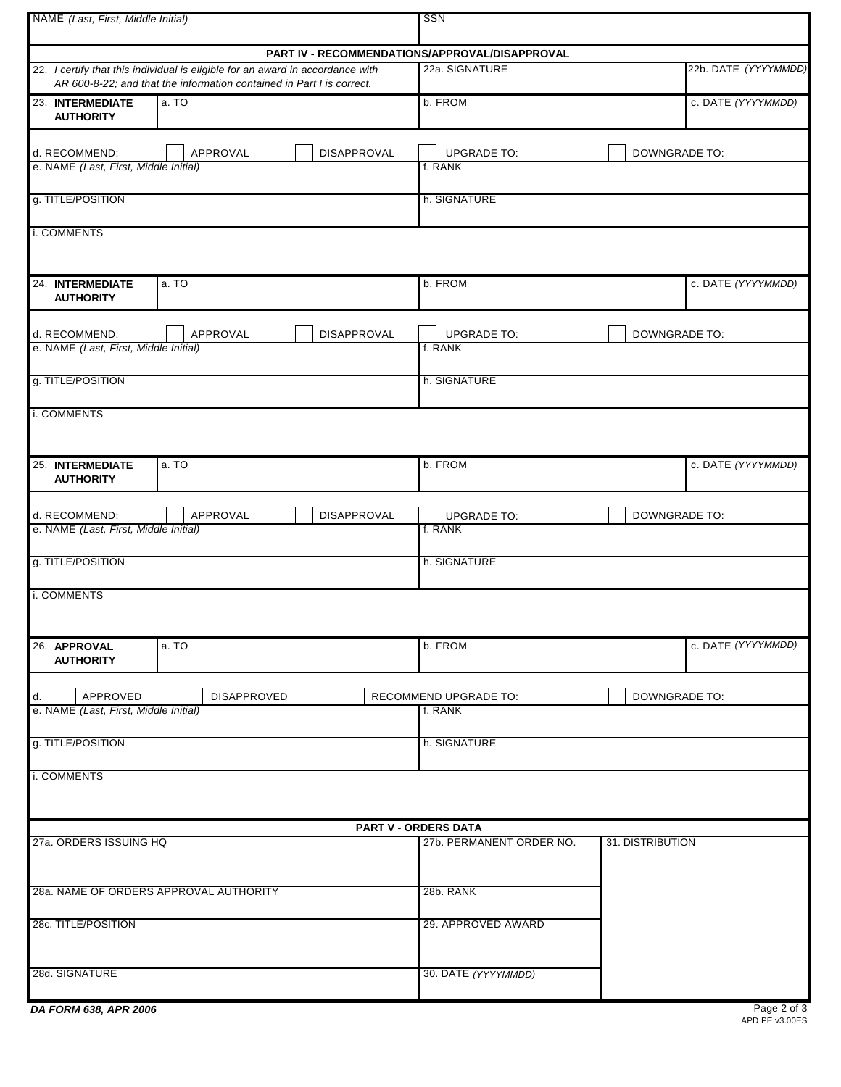| NAME (Last, First, Middle Initial)                     |                                                                                                                                                         | SSN                                            |                      |                    |  |  |  |
|--------------------------------------------------------|---------------------------------------------------------------------------------------------------------------------------------------------------------|------------------------------------------------|----------------------|--------------------|--|--|--|
|                                                        |                                                                                                                                                         | PART IV - RECOMMENDATIONS/APPROVAL/DISAPPROVAL |                      |                    |  |  |  |
|                                                        | 22. I certify that this individual is eligible for an award in accordance with<br>AR 600-8-22; and that the information contained in Part I is correct. | 22a. SIGNATURE                                 | 22b. DATE (YYYYMMDD) |                    |  |  |  |
| 23. INTERMEDIATE<br><b>AUTHORITY</b>                   | a. TO                                                                                                                                                   | b. FROM                                        |                      | c. DATE (YYYYMMDD) |  |  |  |
| d. RECOMMEND:<br>e. NAME (Last, First, Middle Initial) | APPROVAL<br><b>DISAPPROVAL</b>                                                                                                                          | <b>UPGRADE TO:</b><br>f. RANK                  | <b>DOWNGRADE TO:</b> |                    |  |  |  |
| g. TITLE/POSITION                                      |                                                                                                                                                         | h. SIGNATURE                                   |                      |                    |  |  |  |
| i. COMMENTS                                            |                                                                                                                                                         |                                                |                      |                    |  |  |  |
| 24. INTERMEDIATE<br><b>AUTHORITY</b>                   | a. TO                                                                                                                                                   | b. FROM                                        | c. DATE (YYYYMMDD)   |                    |  |  |  |
| d. RECOMMEND:<br>e. NAME (Last, First, Middle Initial) | APPROVAL<br><b>DISAPPROVAL</b>                                                                                                                          | <b>UPGRADE TO:</b><br>f. RANK                  | <b>DOWNGRADE TO:</b> |                    |  |  |  |
| g. TITLE/POSITION                                      |                                                                                                                                                         | h. SIGNATURE                                   |                      |                    |  |  |  |
|                                                        |                                                                                                                                                         |                                                |                      |                    |  |  |  |
| i. COMMENTS                                            |                                                                                                                                                         |                                                |                      |                    |  |  |  |
| 25. INTERMEDIATE<br><b>AUTHORITY</b>                   | a. TO                                                                                                                                                   | b. FROM                                        | c. DATE (YYYYMMDD)   |                    |  |  |  |
| d. RECOMMEND:                                          | APPROVAL<br><b>DISAPPROVAL</b>                                                                                                                          | <b>UPGRADE TO:</b>                             | <b>DOWNGRADE TO:</b> |                    |  |  |  |
| e. NAME (Last, First, Middle Initial)                  |                                                                                                                                                         | f. RANK                                        |                      |                    |  |  |  |
| g. TITLE/POSITION                                      |                                                                                                                                                         | h. SIGNATURE                                   |                      |                    |  |  |  |
| i. COMMENTS                                            |                                                                                                                                                         |                                                |                      |                    |  |  |  |
| 26. APPROVAL<br><b>AUTHORITY</b>                       | a. TO                                                                                                                                                   | b. FROM                                        | c. DATE (YYYYMMDD)   |                    |  |  |  |
| APPROVED<br>d.                                         | <b>DISAPPROVED</b>                                                                                                                                      | RECOMMEND UPGRADE TO:                          | <b>DOWNGRADE TO:</b> |                    |  |  |  |
| e. NAME (Last, First, Middle Initial)                  |                                                                                                                                                         | f. RANK                                        |                      |                    |  |  |  |
| g. TITLE/POSITION                                      |                                                                                                                                                         | h. SIGNATURE                                   |                      |                    |  |  |  |
| i. COMMENTS                                            |                                                                                                                                                         |                                                |                      |                    |  |  |  |
|                                                        |                                                                                                                                                         | PART V - ORDERS DATA                           |                      |                    |  |  |  |
| 27a. ORDERS ISSUING HQ                                 |                                                                                                                                                         | 27b. PERMANENT ORDER NO.                       | 31. DISTRIBUTION     |                    |  |  |  |
|                                                        | 28a. NAME OF ORDERS APPROVAL AUTHORITY                                                                                                                  | 28b. RANK                                      |                      |                    |  |  |  |
| 28c. TITLE/POSITION                                    |                                                                                                                                                         | 29. APPROVED AWARD                             |                      |                    |  |  |  |
| 28d. SIGNATURE                                         |                                                                                                                                                         | 30. DATE (YYYYMMDD)                            |                      |                    |  |  |  |

| DA FORM 638, APR 2006 |  |  |  |
|-----------------------|--|--|--|
|-----------------------|--|--|--|